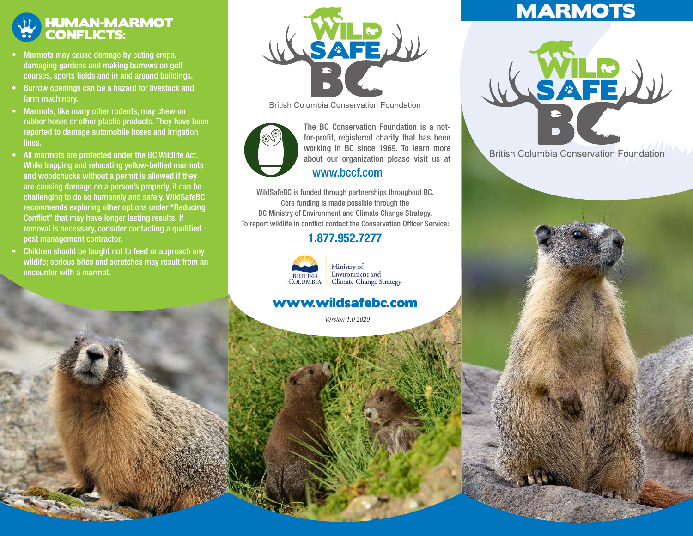### HUMAN-MARMOT CONFLICTS:

- Marmots may cause damage by eating crops, damaging gardens and making burrows on golf courses, sports fields and in and around buildings.
- Burrow openings can be a hazard for livestock and farm machinery.
- Marmots, like many other rodents, may chew on rubber hoses or other plastic products. They have been reported to damage automobile hoses and irrigation lines.
- All marmots are protected under the BC Wildlife Act. While trapping and relocating yellow-bellied marmots and woodchucks without a permit is allowed if they are causing damage on a person's property, it can be challenging to do so humanely and safely. WildSafeBC recommends exploring other options under "Reducing Conflict" that may have longer lasting results. If removal is necessary, consider contacting a qualified pest management contractor.
- Children should be taught not to feed or approach any wildife; serious bites and scratches may result from an encounter with a marmot.



**British Columbia Conservation Foundation** 



working in BC since 1969. To learn more about our organization please visit us at The BC Conservation Foundation is a notfor-profit, registered charity that has been www.bccf.com

WildSafeBC is funded through partnerships throughout BC. Core funding is made possible through the BC Ministry of Environment and Climate Change Strategy. To report wildlife in conflict contact the Conservation Officer Service:

### 1.877.952.7277



Ministry of Environment and **Climate Change Strategy** 

### www.wildsafebc.com

*Version 1.0 2020*

# **MARMOTS**



**British Columbia Conservation Foundation**